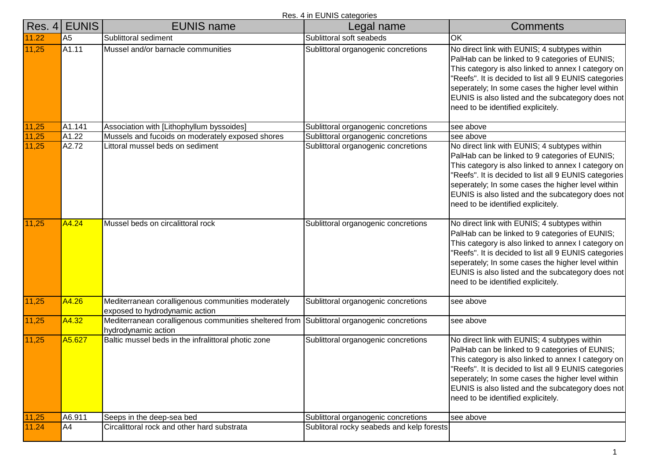| Res. $4$ | <b>EUNIS</b>   | <b>EUNIS name</b>                                                                                                 | . <b>LOIMO 00.090.100</b><br>Legal name   | <b>Comments</b>                                                                                                                                                                                                                                                                                                                                                |
|----------|----------------|-------------------------------------------------------------------------------------------------------------------|-------------------------------------------|----------------------------------------------------------------------------------------------------------------------------------------------------------------------------------------------------------------------------------------------------------------------------------------------------------------------------------------------------------------|
| 11.22    | A <sub>5</sub> | Sublittoral sediment                                                                                              | Sublittoral soft seabeds                  | OK                                                                                                                                                                                                                                                                                                                                                             |
| 11,25    | A1.11          | Mussel and/or barnacle communities                                                                                | Sublittoral organogenic concretions       | No direct link with EUNIS; 4 subtypes within<br>PalHab can be linked to 9 categories of EUNIS;<br>This category is also linked to annex I category on<br>"Reefs". It is decided to list all 9 EUNIS categories<br>seperately; In some cases the higher level within<br>EUNIS is also listed and the subcategory does not<br>need to be identified explicitely. |
| 11,25    | A1.141         | Association with [Lithophyllum byssoides]                                                                         | Sublittoral organogenic concretions       | see above                                                                                                                                                                                                                                                                                                                                                      |
| 11,25    | A1.22          | Mussels and fucoids on moderately exposed shores                                                                  | Sublittoral organogenic concretions       | see above                                                                                                                                                                                                                                                                                                                                                      |
| 11,25    | A2.72          | Littoral mussel beds on sediment                                                                                  | Sublittoral organogenic concretions       | No direct link with EUNIS; 4 subtypes within<br>PalHab can be linked to 9 categories of EUNIS;<br>This category is also linked to annex I category on<br>"Reefs". It is decided to list all 9 EUNIS categories<br>seperately; In some cases the higher level within<br>EUNIS is also listed and the subcategory does not<br>need to be identified explicitely. |
| 11,25    | A4.24          | Mussel beds on circalittoral rock                                                                                 | Sublittoral organogenic concretions       | No direct link with EUNIS; 4 subtypes within<br>PalHab can be linked to 9 categories of EUNIS;<br>This category is also linked to annex I category on<br>"Reefs". It is decided to list all 9 EUNIS categories<br>seperately; In some cases the higher level within<br>EUNIS is also listed and the subcategory does not<br>need to be identified explicitely. |
| 11,25    | A4.26          | Mediterranean coralligenous communities moderately<br>exposed to hydrodynamic action                              | Sublittoral organogenic concretions       | see above                                                                                                                                                                                                                                                                                                                                                      |
| 11,25    | A4.32          | Mediterranean coralligenous communities sheltered from Sublittoral organogenic concretions<br>hydrodynamic action |                                           | see above                                                                                                                                                                                                                                                                                                                                                      |
| 11,25    | A5.627         | Baltic mussel beds in the infralittoral photic zone                                                               | Sublittoral organogenic concretions       | No direct link with EUNIS; 4 subtypes within<br>PalHab can be linked to 9 categories of EUNIS;<br>This category is also linked to annex I category on<br>"Reefs". It is decided to list all 9 EUNIS categories<br>seperately; In some cases the higher level within<br>EUNIS is also listed and the subcategory does not<br>need to be identified explicitely. |
| 11,25    | A6.911         | Seeps in the deep-sea bed                                                                                         | Sublittoral organogenic concretions       | see above                                                                                                                                                                                                                                                                                                                                                      |
| 11.24    | A4             | Circalittoral rock and other hard substrata                                                                       | Sublitoral rocky seabeds and kelp forests |                                                                                                                                                                                                                                                                                                                                                                |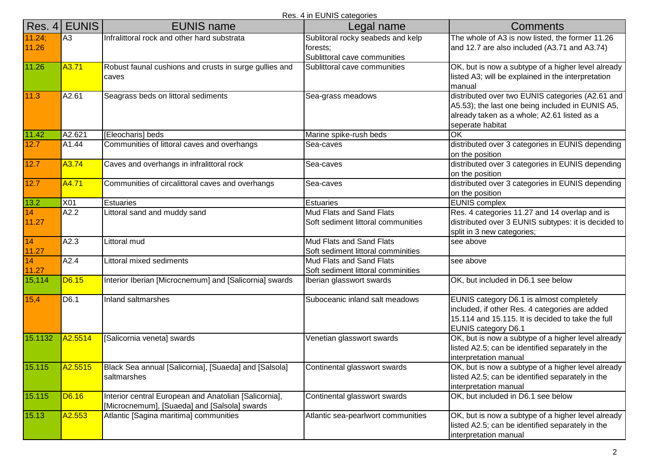| Res. $4$        | <b>EUNIS</b>   | <b>EUNIS name</b>                                                                                     | Legal name                                                                    | <b>Comments</b>                                                                                                                                                               |
|-----------------|----------------|-------------------------------------------------------------------------------------------------------|-------------------------------------------------------------------------------|-------------------------------------------------------------------------------------------------------------------------------------------------------------------------------|
| 11.24;<br>11.26 | A <sub>3</sub> | Infralittoral rock and other hard substrata                                                           | Sublitoral rocky seabeds and kelp<br>forests;<br>Sublittoral cave communities | The whole of A3 is now listed, the former 11.26<br>and 12.7 are also included (A3.71 and A3.74)                                                                               |
| 11.26           | A3.71          | Robust faunal cushions and crusts in surge gullies and<br>caves                                       | Sublittoral cave communities                                                  | OK, but is now a subtype of a higher level already<br>listed A3; will be explained in the interpretation<br>manual                                                            |
| 11.3            | A2.61          | Seagrass beds on littoral sediments                                                                   | Sea-grass meadows                                                             | distributed over two EUNIS categories (A2.61 and<br>A5.53); the last one being included in EUNIS A5,<br>already taken as a whole; A2.61 listed as a<br>seperate habitat       |
| 11.42           | A2.621         | [Eleocharis] beds                                                                                     | Marine spike-rush beds                                                        | OK                                                                                                                                                                            |
| 12.7            | A1.44          | Communities of littoral caves and overhangs                                                           | Sea-caves                                                                     | distributed over 3 categories in EUNIS depending<br>on the position                                                                                                           |
| $12.7$          | A3.74          | Caves and overhangs in infralittoral rock                                                             | Sea-caves                                                                     | distributed over 3 categories in EUNIS depending<br>on the position                                                                                                           |
| $12.7$          | A4.71          | Communities of circalittoral caves and overhangs                                                      | Sea-caves                                                                     | distributed over 3 categories in EUNIS depending<br>on the position                                                                                                           |
| $13.2$          | X01            | <b>Estuaries</b>                                                                                      | Estuaries                                                                     | <b>EUNIS complex</b>                                                                                                                                                          |
| 14<br>11.27     | A2.2           | Littoral sand and muddy sand                                                                          | Mud Flats and Sand Flats<br>Soft sediment littoral communities                | Res. 4 categories 11.27 and 14 overlap and is<br>distributed over 3 EUNIS subtypes: it is decided to<br>split in 3 new categories;                                            |
| 14              | A2.3           | Littoral mud                                                                                          | Mud Flats and Sand Flats                                                      | see above                                                                                                                                                                     |
| 11.27           |                |                                                                                                       | Soft sediment littoral comminities                                            |                                                                                                                                                                               |
| 14<br>11.27     | A2.4           | Littoral mixed sediments                                                                              | Mud Flats and Sand Flats<br>Soft sediment littoral comminities                | see above                                                                                                                                                                     |
| 15,114          | D6.15          | Interior Iberian [Microcnemum] and [Salicornia] swards                                                | Iberian glasswort swards                                                      | OK, but included in D6.1 see below                                                                                                                                            |
| 15,4            | D6.1           | Inland saltmarshes                                                                                    | Suboceanic inland salt meadows                                                | EUNIS category D6.1 is almost completely<br>included, if other Res. 4 categories are added<br>15.114 and 15.115. It is decided to take the full<br><b>EUNIS category D6.1</b> |
| 15.1132         | A2.5514        | [Salicornia veneta] swards                                                                            | Venetian glasswort swards                                                     | OK, but is now a subtype of a higher level already<br>listed A2.5; can be identified separately in the<br>interpretation manual                                               |
| 15.115          | A2.5515        | Black Sea annual [Salicornia], [Suaeda] and [Salsola]<br>saltmarshes                                  | Continental glasswort swards                                                  | OK, but is now a subtype of a higher level already<br>listed A2.5; can be identified separately in the<br>interpretation manual                                               |
| 15.115          | D6.16          | Interior central European and Anatolian [Salicornia],<br>[Microcnemum], [Suaeda] and [Salsola] swards | Continental glasswort swards                                                  | OK, but included in D6.1 see below                                                                                                                                            |
| 15.13           | A2.553         | Atlantic [Sagina maritima] communities                                                                | Atlantic sea-pearlwort communities                                            | OK, but is now a subtype of a higher level already<br>listed A2.5; can be identified separately in the<br>interpretation manual                                               |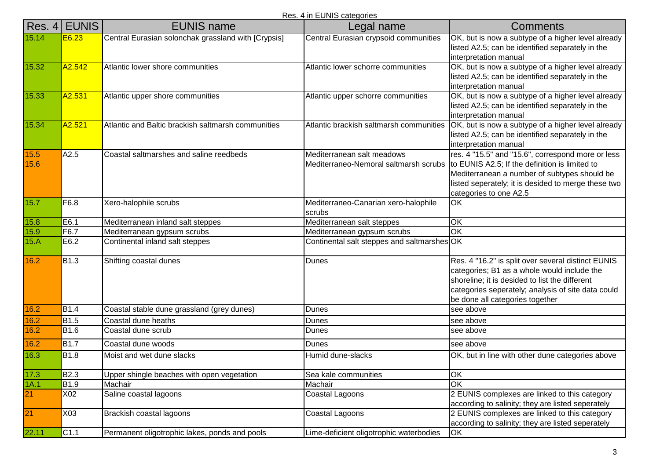| Res. 4       | <b>EUNIS</b>      | <b>EUNIS</b> name                                   | Legal name                                     | <b>Comments</b>                                                                                                                                                                                                                                                            |
|--------------|-------------------|-----------------------------------------------------|------------------------------------------------|----------------------------------------------------------------------------------------------------------------------------------------------------------------------------------------------------------------------------------------------------------------------------|
| 15.14        | E6.23             | Central Eurasian solonchak grassland with [Crypsis] | Central Eurasian crypsoid communities          | OK, but is now a subtype of a higher level already<br>listed A2.5; can be identified separately in the<br>interpretation manual                                                                                                                                            |
| 15.32        | A2.542            | Atlantic lower shore communities                    | Atlantic lower schorre communities             | OK, but is now a subtype of a higher level already<br>listed A2.5; can be identified separately in the<br>interpretation manual                                                                                                                                            |
| 15.33        | A2.531            | Atlantic upper shore communities                    | Atlantic upper schorre communities             | OK, but is now a subtype of a higher level already<br>listed A2.5; can be identified separately in the<br>interpretation manual                                                                                                                                            |
| 15.34        | A2.521            | Atlantic and Baltic brackish saltmarsh communities  | Atlantic brackish saltmarsh communities        | OK, but is now a subtype of a higher level already<br>listed A2.5; can be identified separately in the<br>interpretation manual                                                                                                                                            |
| 15.5<br>15.6 | A2.5              | Coastal saltmarshes and saline reedbeds             | Mediterranean salt meadows                     | res. 4 "15.5" and "15.6", correspond more or less<br>Mediterraneo-Nemoral saltmarsh scrubs to EUNIS A2.5; If the definition is limited to<br>Mediterranean a number of subtypes should be<br>listed seperately; it is desided to merge these two<br>categories to one A2.5 |
| 15.7         | F6.8              | Xero-halophile scrubs                               | Mediterraneo-Canarian xero-halophile<br>scrubs | OK                                                                                                                                                                                                                                                                         |
| 15.8         | E6.1              | Mediterranean inland salt steppes                   | Mediterranean salt steppes                     | OK                                                                                                                                                                                                                                                                         |
| 15.9         | F6.7              | Mediterranean gypsum scrubs                         | Mediterranean gypsum scrubs                    | OK                                                                                                                                                                                                                                                                         |
| 15.A         | E6.2              | Continental inland salt steppes                     | Continental salt steppes and saltmarshes OK    |                                                                                                                                                                                                                                                                            |
| 16.2         | B1.3              | Shifting coastal dunes                              | <b>Dunes</b>                                   | Res. 4 "16.2" is split over several distinct EUNIS<br>categories; B1 as a whole would include the<br>shoreline; it is desided to list the different<br>categories seperately; analysis of site data could<br>be done all categories together                               |
| 16.2         | B1.4              | Coastal stable dune grassland (grey dunes)          | <b>Dunes</b>                                   | see above                                                                                                                                                                                                                                                                  |
| 16.2         | B1.5              | Coastal dune heaths                                 | Dunes                                          | see above                                                                                                                                                                                                                                                                  |
| 16.2         | B1.6              | Coastal dune scrub                                  | <b>Dunes</b>                                   | see above                                                                                                                                                                                                                                                                  |
| 16.2         | B1.7              | Coastal dune woods                                  | <b>Dunes</b>                                   | see above                                                                                                                                                                                                                                                                  |
| 16.3         | B1.8              | Moist and wet dune slacks                           | Humid dune-slacks                              | OK, but in line with other dune categories above                                                                                                                                                                                                                           |
| 17.3         | B <sub>2.3</sub>  | Upper shingle beaches with open vegetation          | Sea kale communities                           | OK                                                                                                                                                                                                                                                                         |
| 1A.1         | B1.9              | Machair                                             | Machair                                        | $\overline{OK}$                                                                                                                                                                                                                                                            |
| 21           | X02               | Saline coastal lagoons                              | <b>Coastal Lagoons</b>                         | 2 EUNIS complexes are linked to this category<br>according to salinity; they are listed seperately                                                                                                                                                                         |
| 21           | X03               | Brackish coastal lagoons                            | <b>Coastal Lagoons</b>                         | 2 EUNIS complexes are linked to this category<br>according to salinity; they are listed seperately                                                                                                                                                                         |
| 22.11        | $\overline{C1.1}$ | Permanent oligotrophic lakes, ponds and pools       | Lime-deficient oligotrophic waterbodies        | OK                                                                                                                                                                                                                                                                         |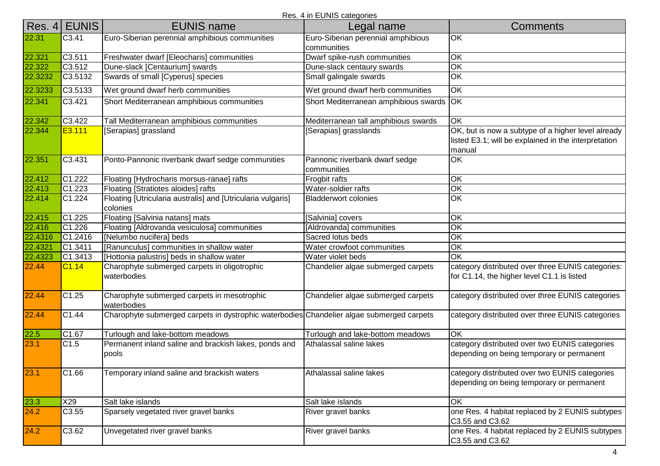Res. 4 in EUNIS categories

| Res. 4  | <b>EUNIS</b> | <b>EUNIS name</b>                                                                         | Legal name                                        | <b>Comments</b>                                                                                                      |
|---------|--------------|-------------------------------------------------------------------------------------------|---------------------------------------------------|----------------------------------------------------------------------------------------------------------------------|
| 22.31   | C3.41        | Euro-Siberian perennial amphibious communities                                            | Euro-Siberian perennial amphibious<br>communities | OK                                                                                                                   |
| 22.321  | C3.511       | Freshwater dwarf [Eleocharis] communities                                                 | Dwarf spike-rush communities                      | OK                                                                                                                   |
| 22.322  | C3.512       | Dune-slack [Centaurium] swards                                                            | Dune-slack centaury swards                        | OK                                                                                                                   |
| 22.3232 | C3.5132      | Swards of small [Cyperus] species                                                         | Small galingale swards                            | OK                                                                                                                   |
| 22.3233 | C3.5133      | Wet ground dwarf herb communities                                                         | Wet ground dwarf herb communities                 | OK                                                                                                                   |
| 22.341  | C3.421       | Short Mediterranean amphibious communities                                                | Short Mediterranean amphibious swards OK          |                                                                                                                      |
| 22.342  | C3.422       | Tall Mediterranean amphibious communities                                                 | Mediterranean tall amphibious swards              | OK                                                                                                                   |
| 22.344  | E3.111       | [Serapias] grassland                                                                      | [Serapias] grasslands                             | OK, but is now a subtype of a higher level already<br>listed E3.1; will be explained in the interpretation<br>manual |
| 22.351  | C3.431       | Ponto-Pannonic riverbank dwarf sedge communities                                          | Pannonic riverbank dwarf sedge<br>communities     | OK                                                                                                                   |
| 22.412  | C1.222       | Floating [Hydrocharis morsus-ranae] rafts                                                 | Frogbit rafts                                     | OK                                                                                                                   |
| 22.413  | C1.223       | Floating [Stratiotes aloides] rafts                                                       | Water-soldier rafts                               | $\overline{OK}$                                                                                                      |
| 22.414  | C1.224       | Floating [Utricularia australis] and [Utricularia vulgaris]<br>colonies                   | <b>Bladderwort colonies</b>                       | OK                                                                                                                   |
| 22.415  | C1.225       | Floating [Salvinia natans] mats                                                           | [Salvinia] covers                                 | OK                                                                                                                   |
| 22.416  | C1.226       | Floating [Aldrovanda vesiculosa] communities                                              | [Aldrovanda] communities                          | $\overline{OK}$                                                                                                      |
| 22.4316 | C1.2416      | [Nelumbo nucifera] beds                                                                   | Sacred lotus beds                                 | OK                                                                                                                   |
| 22.4321 | C1.3411      | [Ranunculus] communities in shallow water                                                 | Water crowfoot communities                        | OK                                                                                                                   |
| 22.4323 | C1.3413      | [Hottonia palustris] beds in shallow water                                                | Water violet beds                                 | $\overline{OK}$                                                                                                      |
| 22.44   | C1.14        | Charophyte submerged carpets in oligotrophic<br>waterbodies                               | Chandelier algae submerged carpets                | category distributed over three EUNIS categories:<br>for C1.14, the higher level C1.1 is listed                      |
| 22.44   | C1.25        | Charophyte submerged carpets in mesotrophic<br>waterbodies                                | Chandelier algae submerged carpets                | category distributed over three EUNIS categories                                                                     |
| 22.44   | C1.44        | Charophyte submerged carpets in dystrophic waterbodies Chandelier algae submerged carpets |                                                   | category distributed over three EUNIS categories                                                                     |
| 22.5    | C1.67        | Turlough and lake-bottom meadows                                                          | Turlough and lake-bottom meadows                  | OK                                                                                                                   |
| 23.1    | C1.5         | Permanent inland saline and brackish lakes, ponds and<br>pools                            | Athalassal saline lakes                           | category distributed over two EUNIS categories<br>depending on being temporary or permanent                          |
| 23.1    | C1.66        | Temporary inland saline and brackish waters                                               | Athalassal saline lakes                           | category distributed over two EUNIS categories<br>depending on being temporary or permanent                          |
| 23.3    | X29          | Salt lake islands                                                                         | Salt lake islands                                 | OK                                                                                                                   |
| 24.2    | C3.55        | Sparsely vegetated river gravel banks                                                     | River gravel banks                                | one Res. 4 habitat replaced by 2 EUNIS subtypes<br>C3.55 and C3.62                                                   |
| 24.2    | C3.62        | Unvegetated river gravel banks                                                            | River gravel banks                                | one Res. 4 habitat replaced by 2 EUNIS subtypes<br>C3.55 and C3.62                                                   |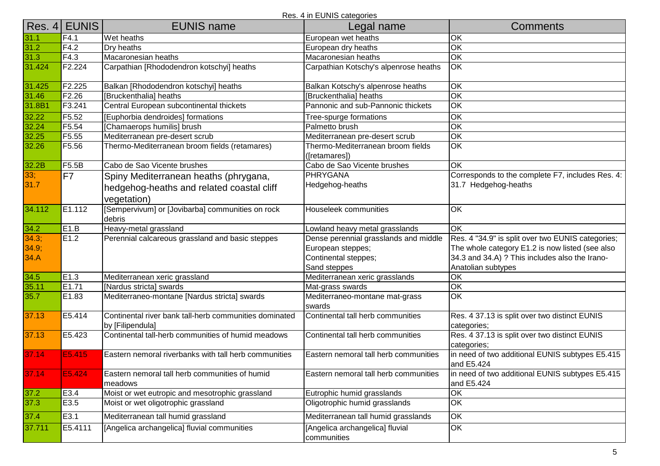| Res. $4$ | <b>EUNIS</b>               | <b>EUNIS name</b>                                                          | Legal name                                         | <b>Comments</b>                                               |
|----------|----------------------------|----------------------------------------------------------------------------|----------------------------------------------------|---------------------------------------------------------------|
| 31.1     | F4.1                       | Wet heaths                                                                 | European wet heaths                                | OK                                                            |
| 31.2     | F4.2                       | Dry heaths                                                                 | European dry heaths                                | $\overline{OR}$                                               |
| 31.3     | F4.3                       | Macaronesian heaths                                                        | Macaronesian heaths                                | OK                                                            |
| 31.424   | F2.224                     | Carpathian [Rhododendron kotschyi] heaths                                  | Carpathian Kotschy's alpenrose heaths              | OK                                                            |
| 31.425   | F2.225                     | Balkan [Rhododendron kotschyi] heaths                                      | Balkan Kotschy's alpenrose heaths                  | OK                                                            |
| 31.46    | $\overline{\text{F}}$ 2.26 | [Bruckenthalia] heaths                                                     | [Bruckenthalia] heaths                             | OK                                                            |
| 31.8B1   | F3.241                     | Central European subcontinental thickets                                   | Pannonic and sub-Pannonic thickets                 | OK                                                            |
| 32.22    | F5.52                      | [Euphorbia dendroides] formations                                          | Tree-spurge formations                             | OK                                                            |
| 32.24    | F5.54                      | [Chamaerops humilis] brush                                                 | Palmetto brush                                     | OK                                                            |
| 32.25    | F5.55                      | Mediterranean pre-desert scrub                                             | Mediterranean pre-desert scrub                     | OK                                                            |
| 32.26    | F5.56                      | Thermo-Mediterranean broom fields (retamares)                              | Thermo-Mediterranean broom fields<br>([retamares]) | $\overline{OR}$                                               |
| 32.2B    | F5.5B                      | Cabo de Sao Vicente brushes                                                | Cabo de Sao Vicente brushes                        | <b>OK</b>                                                     |
| 33;      | F7                         | Spiny Mediterranean heaths (phrygana,                                      | <b>PHRYGANA</b>                                    | Corresponds to the complete F7, includes Res. 4:              |
| 31.7     |                            | hedgehog-heaths and related coastal cliff<br>vegetation)                   | Hedgehog-heaths                                    | 31.7 Hedgehog-heaths                                          |
| 34.112   | E1.112                     | [Sempervivum] or [Jovibarba] communities on rock<br>debris                 | Houseleek communities                              | OK                                                            |
| 34.2     | E1.B                       | Heavy-metal grassland                                                      | Lowland heavy metal grasslands                     | <b>OK</b>                                                     |
| 34.3;    | E1.2                       | Perennial calcareous grassland and basic steppes                           | Dense perennial grasslands and middle              | Res. 4 "34.9" is split over two EUNIS categories;             |
| 34.9;    |                            |                                                                            | European steppes;                                  | The whole category E1.2 is now listed (see also               |
| 34.A     |                            |                                                                            | Continental steppes;                               | 34.3 and 34.A) ? This includes also the Irano-                |
|          |                            |                                                                            | Sand steppes                                       | Anatolian subtypes                                            |
| 34.5     | E1.3                       | Mediterranean xeric grassland                                              | Mediterranean xeric grasslands                     | OK                                                            |
| 35.11    | E <sub>1.71</sub>          | [Nardus stricta] swards                                                    | Mat-grass swards                                   | OK                                                            |
| 35.7     | E <sub>1.83</sub>          | Mediterraneo-montane [Nardus stricta] swards                               | Mediterraneo-montane mat-grass<br>swards           | ЮK                                                            |
| 37.13    | E5.414                     | Continental river bank tall-herb communities dominated<br>by [Filipendula] | Continental tall herb communities                  | Res. 4 37.13 is split over two distinct EUNIS<br>categories;  |
| 37.13    | $\overline{E5.423}$        | Continental tall-herb communities of humid meadows                         | Continental tall herb communities                  | Res. 4 37.13 is split over two distinct EUNIS<br>categories;  |
| 37.14    | E5.415                     | Eastern nemoral riverbanks with tall herb communities                      | Eastern nemoral tall herb communities              | in need of two additional EUNIS subtypes E5.415<br>and E5.424 |
| 37.14    | E5.424                     | Eastern nemoral tall herb communities of humid<br>meadows                  | Eastern nemoral tall herb communities              | in need of two additional EUNIS subtypes E5.415<br>and E5.424 |
| 37.2     | E3.4                       | Moist or wet eutropic and mesotrophic grassland                            | Eutrophic humid grasslands                         | OK                                                            |
| 37.3     | E3.5                       | Moist or wet oligotrophic grassland                                        | Oligotrophic humid grasslands                      | OK                                                            |
| 37.4     | E3.1                       | Mediterranean tall humid grassland                                         | Mediterranean tall humid grasslands                | OK                                                            |
| 37.711   | E5.4111                    | [Angelica archangelica] fluvial communities                                | [Angelica archangelica] fluvial<br>communities     | OK                                                            |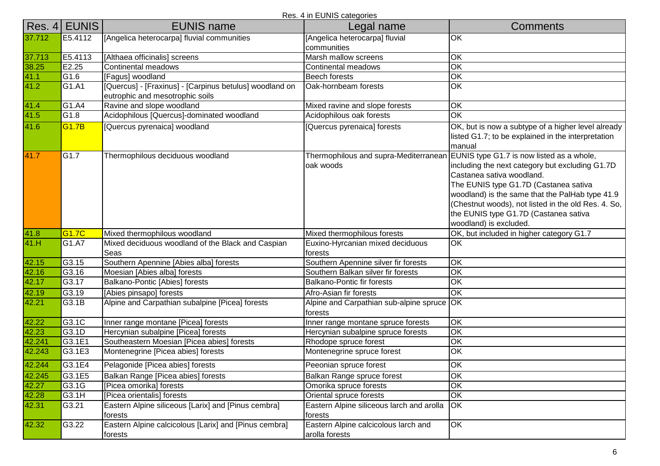| Res. 4                  | <b>EUNIS</b>       | <b>EUNIS name</b>                                                                          | Legal name                                             | <b>Comments</b>                                                                                                                                                                                                                                                                                                                                 |
|-------------------------|--------------------|--------------------------------------------------------------------------------------------|--------------------------------------------------------|-------------------------------------------------------------------------------------------------------------------------------------------------------------------------------------------------------------------------------------------------------------------------------------------------------------------------------------------------|
| 37.712                  | E5.4112            | [Angelica heterocarpa] fluvial communities                                                 | [Angelica heterocarpa] fluvial                         | OK                                                                                                                                                                                                                                                                                                                                              |
|                         |                    |                                                                                            | communities                                            |                                                                                                                                                                                                                                                                                                                                                 |
| 37.713                  | E5.4113            | [Althaea officinalis] screens                                                              | Marsh mallow screens                                   | OK                                                                                                                                                                                                                                                                                                                                              |
| 38.25                   | E2.25              | Continental meadows                                                                        | Continental meadows                                    | OK                                                                                                                                                                                                                                                                                                                                              |
| $\frac{41.1}{41.2}$     | G1.6               | [Fagus] woodland                                                                           | <b>Beech forests</b>                                   | OK                                                                                                                                                                                                                                                                                                                                              |
|                         | G1.A1              | [Quercus] - [Fraxinus] - [Carpinus betulus] woodland on<br>eutrophic and mesotrophic soils | Oak-hornbeam forests                                   | OK                                                                                                                                                                                                                                                                                                                                              |
|                         | G1.A4              | Ravine and slope woodland                                                                  | Mixed ravine and slope forests                         | OK                                                                                                                                                                                                                                                                                                                                              |
| $\frac{41.4}{41.5}$     | $\overline{G}1.8$  | Acidophilous [Quercus]-dominated woodland                                                  | Acidophilous oak forests                               | OK                                                                                                                                                                                                                                                                                                                                              |
| 41.6                    | G1.7B              | [Quercus pyrenaica] woodland                                                               | [Quercus pyrenaica] forests                            | OK, but is now a subtype of a higher level already<br>listed G1.7; to be explained in the interpretation<br>manual                                                                                                                                                                                                                              |
| 41.7                    | G1.7               | Thermophilous deciduous woodland                                                           | Thermophilous and supra-Mediterranear<br>oak woods     | EUNIS type G1.7 is now listed as a whole,<br>including the next category but excluding G1.7D<br>Castanea sativa woodland.<br>The EUNIS type G1.7D (Castanea sativa<br>woodland) is the same that the PalHab type 41.9<br>(Chestnut woods), not listed in the old Res. 4. So,<br>the EUNIS type G1.7D (Castanea sativa<br>woodland) is excluded. |
|                         | G1.7C              | Mixed thermophilous woodland                                                               | Mixed thermophilous forests                            | OK, but included in higher category G1.7                                                                                                                                                                                                                                                                                                        |
| $\frac{41.8}{41. H}$    | $\overline{G1.A7}$ | Mixed deciduous woodland of the Black and Caspian                                          | Euxino-Hyrcanian mixed deciduous                       | OK                                                                                                                                                                                                                                                                                                                                              |
|                         |                    | Seas                                                                                       | forests                                                |                                                                                                                                                                                                                                                                                                                                                 |
|                         | G3.15              | Southern Apennine [Abies alba] forests                                                     | Southern Apennine silver fir forests                   | OK                                                                                                                                                                                                                                                                                                                                              |
|                         | G3.16              | Moesian [Abies alba] forests                                                               | Southern Balkan silver fir forests                     | OK                                                                                                                                                                                                                                                                                                                                              |
| 42.15<br>42.16<br>42.17 | G3.17              | Balkano-Pontic [Abies] forests                                                             | Balkano-Pontic fir forests                             | OK                                                                                                                                                                                                                                                                                                                                              |
| 42.19                   | $\overline{G}3.19$ | [Abies pinsapo] forests                                                                    | Afro-Asian fir forests                                 | <b>OK</b>                                                                                                                                                                                                                                                                                                                                       |
| 42.21                   | G3.1B              | Alpine and Carpathian subalpine [Picea] forests                                            | Alpine and Carpathian sub-alpine spruce OK<br>forests  |                                                                                                                                                                                                                                                                                                                                                 |
| 42.22                   | G3.1C              | Inner range montane [Picea] forests                                                        | Inner range montane spruce forests                     | OK                                                                                                                                                                                                                                                                                                                                              |
| 42.23                   | G3.1D              | Hercynian subalpine [Picea] forests                                                        | Hercynian subalpine spruce forests                     | OK                                                                                                                                                                                                                                                                                                                                              |
|                         | G3.1E1             | Southeastern Moesian [Picea abies] forests                                                 | Rhodope spruce forest                                  | OK                                                                                                                                                                                                                                                                                                                                              |
| 42.241<br>42.243        | G3.1E3             | Montenegrine [Picea abies] forests                                                         | Montenegrine spruce forest                             | OK                                                                                                                                                                                                                                                                                                                                              |
| 42.244                  | G3.1E4             | Pelagonide [Picea abies] forests                                                           | Peeonian spruce forest                                 | OK                                                                                                                                                                                                                                                                                                                                              |
| 42.245                  | G3.1E5             | Balkan Range [Picea abies] forests                                                         | Balkan Range spruce forest                             | OK                                                                                                                                                                                                                                                                                                                                              |
| 42.27                   | G3.1G              | [Picea omorika] forests                                                                    | Omorika spruce forests                                 | OK                                                                                                                                                                                                                                                                                                                                              |
| 42.28                   | G3.1H              | [Picea orientalis] forests                                                                 | Oriental spruce forests                                | OK                                                                                                                                                                                                                                                                                                                                              |
| 42.31                   | G3.21              | Eastern Alpine siliceous [Larix] and [Pinus cembra]<br>forests                             | Eastern Alpine siliceous larch and arolla<br>forests   | OK                                                                                                                                                                                                                                                                                                                                              |
| 42.32                   | G3.22              | Eastern Alpine calcicolous [Larix] and [Pinus cembra]<br>forests                           | Eastern Alpine calcicolous larch and<br>arolla forests | OK                                                                                                                                                                                                                                                                                                                                              |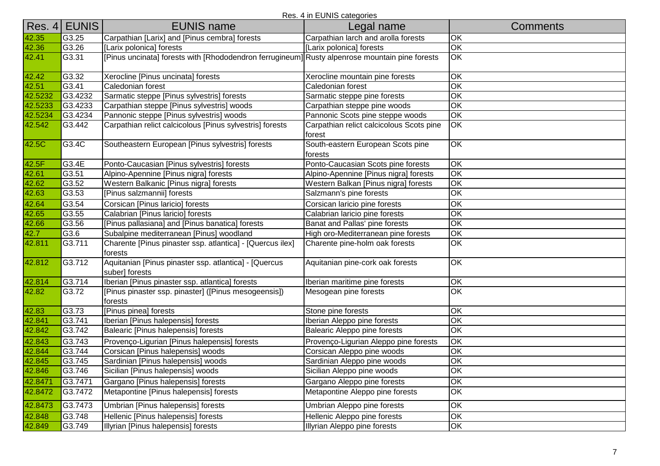Res. 4 in EUNIS categories

| Res. 4  | <b>EUNIS</b>      | <b>EUNIS name</b>                                                                              | Legal name                                   | <b>Comments</b>          |
|---------|-------------------|------------------------------------------------------------------------------------------------|----------------------------------------------|--------------------------|
| 42.35   | G3.25             | Carpathian [Larix] and [Pinus cembra] forests                                                  | Carpathian larch and arolla forests          | OK                       |
| 42.36   | G3.26             | [Larix polonica] forests                                                                       | [Larix polonica] forests                     | OK                       |
| 42.41   | G3.31             | [Pinus uncinata] forests with [Rhododendron ferrugineum] Rusty alpenrose mountain pine forests |                                              | OK                       |
| 42.42   | G3.32             | Xerocline [Pinus uncinata] forests                                                             | Xerocline mountain pine forests              | OK                       |
| 42.51   | G3.41             | Caledonian forest                                                                              | Caledonian forest                            | OK                       |
| 42.5232 | G3.4232           | Sarmatic steppe [Pinus sylvestris] forests                                                     | Sarmatic steppe pine forests                 | OK                       |
| 42.5233 | G3.4233           | Carpathian steppe [Pinus sylvestris] woods                                                     | Carpathian steppe pine woods                 | OK                       |
| 42.5234 | G3.4234           | Pannonic steppe [Pinus sylvestris] woods                                                       | Pannonic Scots pine steppe woods             | OK                       |
| 42.542  | G3.442            | Carpathian relict calcicolous [Pinus sylvestris] forests                                       | Carpathian relict calcicolous Scots pine     | OK                       |
|         |                   |                                                                                                | forest                                       |                          |
| 42.5C   | G3.4C             | Southeastern European [Pinus sylvestris] forests                                               | South-eastern European Scots pine<br>forests | OK                       |
| 42.5F   | G3.4E             | Ponto-Caucasian [Pinus sylvestris] forests                                                     | Ponto-Caucasian Scots pine forests           | OK                       |
| 42.61   | G3.51             | Alpino-Apennine [Pinus nigra] forests                                                          | Alpino-Apennine [Pinus nigra] forests        | $\overline{\mathsf{OK}}$ |
| 42.62   | G3.52             | Western Balkanic [Pinus nigra] forests                                                         | Western Balkan [Pinus nigra] forests         | OK                       |
| 42.63   | G3.53             | [Pinus salzmannii] forests                                                                     | Salzmann's pine forests                      | OK                       |
| 42.64   | G3.54             | Corsican [Pinus laricio] forests                                                               | Corsican laricio pine forests                | OK                       |
| 42.65   | G3.55             | Calabrian [Pinus laricio] forests                                                              | Calabrian laricio pine forests               | OK                       |
| 42.66   | G3.56             | [Pinus pallasiana] and [Pinus banatica] forests                                                | Banat and Pallas' pine forests               | OK                       |
| 42.7    | $\overline{G3.6}$ | Subalpine mediterranean [Pinus] woodland                                                       | High oro-Mediterranean pine forests          | OK                       |
| 42.811  | G3.711            | Charente [Pinus pinaster ssp. atlantica] - [Quercus ilex]<br>forests                           | Charente pine-holm oak forests               | OK                       |
| 42.812  | G3.712            | Aquitanian [Pinus pinaster ssp. atlantica] - [Quercus<br>suber] forests                        | Aquitanian pine-cork oak forests             | OK                       |
| 42.814  | G3.714            | Iberian [Pinus pinaster ssp. atlantica] forests                                                | Iberian maritime pine forests                | OK                       |
| 42.82   | G3.72             | [Pinus pinaster ssp. pinaster] ([Pinus mesogeensis])<br>forests                                | Mesogean pine forests                        | OK                       |
| 42.83   | G3.73             | [Pinus pinea] forests                                                                          | Stone pine forests                           | OK                       |
| 42.841  | G3.741            | Iberian [Pinus halepensis] forests                                                             | Iberian Aleppo pine forests                  | OK                       |
| 42.842  | G3.742            | Balearic [Pinus halepensis] forests                                                            | Balearic Aleppo pine forests                 | OK                       |
| 42.843  | G3.743            | Provenço-Ligurian [Pinus halepensis] forests                                                   | Provenço-Ligurian Aleppo pine forests        | OK                       |
| 42.844  | G3.744            | Corsican [Pinus halepensis] woods                                                              | Corsican Aleppo pine woods                   | OK                       |
| 42.845  | G3.745            | Sardinian [Pinus halepensis] woods                                                             | Sardinian Aleppo pine woods                  | OK                       |
| 42.846  | G3.746            | Sicilian [Pinus halepensis] woods                                                              | Sicilian Aleppo pine woods                   | OK                       |
| 42.8471 | G3.7471           | Gargano [Pinus halepensis] forests                                                             | Gargano Aleppo pine forests                  | OK                       |
| 42.8472 | G3.7472           | Metapontine [Pinus halepensis] forests                                                         | Metapontine Aleppo pine forests              | OK                       |
| 42.8473 | G3.7473           | Umbrian [Pinus halepensis] forests                                                             | Umbrian Aleppo pine forests                  | OK                       |
| 42.848  | G3.748            | Hellenic [Pinus halepensis] forests                                                            | Hellenic Aleppo pine forests                 | $\overline{OK}$          |
| 42.849  | G3.749            | Illyrian [Pinus halepensis] forests                                                            | Illyrian Aleppo pine forests                 | OK                       |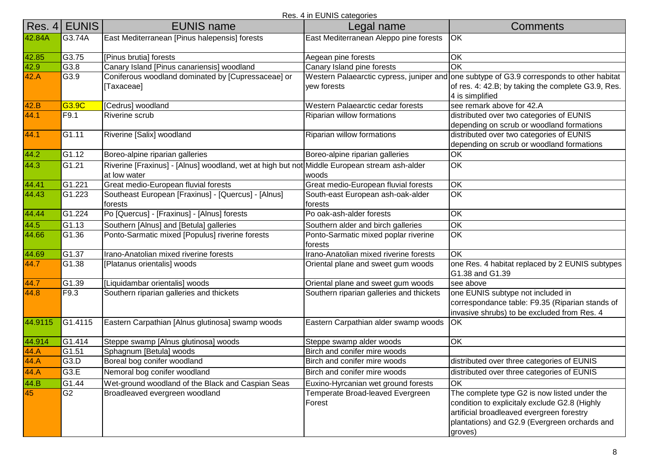| Res. 4  | <b>EUNIS</b>        | <b>EUNIS name</b>                                                                                            | Legal name                                      | <b>Comments</b>                                                                                                                                                                                        |
|---------|---------------------|--------------------------------------------------------------------------------------------------------------|-------------------------------------------------|--------------------------------------------------------------------------------------------------------------------------------------------------------------------------------------------------------|
| 42.84A  | G3.74A              | East Mediterranean [Pinus halepensis] forests                                                                | East Mediterranean Aleppo pine forests          | <b>OK</b>                                                                                                                                                                                              |
| 42.85   | G3.75               | [Pinus brutia] forests                                                                                       | Aegean pine forests                             | OK                                                                                                                                                                                                     |
| 42.9    | $\overline{G}3.8$   | Canary Island [Pinus canariensis] woodland                                                                   | Canary Island pine forests                      | OK                                                                                                                                                                                                     |
| 42.A    | G3.9                | Coniferous woodland dominated by [Cupressaceae] or<br>[Taxaceae]                                             | yew forests                                     | Western Palaearctic cypress, juniper and one subtype of G3.9 corresponds to other habitat<br>of res. 4: 42.B; by taking the complete G3.9, Res.<br>4 is simplified                                     |
| 42.B    | G3.9C               | [Cedrus] woodland                                                                                            | Western Palaearctic cedar forests               | see remark above for 42.A                                                                                                                                                                              |
| 44.1    | F9.1                | <b>Riverine scrub</b>                                                                                        | Riparian willow formations                      | distributed over two categories of EUNIS<br>depending on scrub or woodland formations                                                                                                                  |
| 44.1    | G1.11               | Riverine [Salix] woodland                                                                                    | Riparian willow formations                      | distributed over two categories of EUNIS<br>depending on scrub or woodland formations                                                                                                                  |
| 44.2    | G1.12               | Boreo-alpine riparian galleries                                                                              | Boreo-alpine riparian galleries                 | OK                                                                                                                                                                                                     |
| 44.3    | G1.21               | Riverine [Fraxinus] - [Alnus] woodland, wet at high but not Middle European stream ash-alder<br>at low water | woods                                           | OK                                                                                                                                                                                                     |
| 44.41   | G1.221              | Great medio-European fluvial forests                                                                         | Great medio-European fluvial forests            | OK                                                                                                                                                                                                     |
| 44.43   | G1.223              | Southeast European [Fraxinus] - [Quercus] - [Alnus]<br>forests                                               | South-east European ash-oak-alder<br>forests    | OK                                                                                                                                                                                                     |
| 44.44   | G1.224              | Po [Quercus] - [Fraxinus] - [Alnus] forests                                                                  | Po oak-ash-alder forests                        | OK                                                                                                                                                                                                     |
| 44.5    | G1.13               | Southern [Alnus] and [Betula] galleries                                                                      | Southern alder and birch galleries              | OK                                                                                                                                                                                                     |
| 44.66   | G1.36               | Ponto-Sarmatic mixed [Populus] riverine forests                                                              | Ponto-Sarmatic mixed poplar riverine<br>forests | OK                                                                                                                                                                                                     |
| 44.69   | G1.37               | Irano-Anatolian mixed riverine forests                                                                       | Irano-Anatolian mixed riverine forests          | OK                                                                                                                                                                                                     |
| 44.7    | G1.38               | [Platanus orientalis] woods                                                                                  | Oriental plane and sweet gum woods              | one Res. 4 habitat replaced by 2 EUNIS subtypes<br>G1.38 and G1.39                                                                                                                                     |
| 44.7    | G1.39               | [Liquidambar orientalis] woods                                                                               | Oriental plane and sweet gum woods              | see above                                                                                                                                                                                              |
| 44.8    | F9.3                | Southern riparian galleries and thickets                                                                     | Southern riparian galleries and thickets        | one EUNIS subtype not included in<br>correspondance table: F9.35 (Riparian stands of<br>invasive shrubs) to be excluded from Res. 4                                                                    |
| 44.9115 | G1.4115             | Eastern Carpathian [Alnus glutinosa] swamp woods                                                             | Eastern Carpathian alder swamp woods            | <b>OK</b>                                                                                                                                                                                              |
| 44.914  | G1.414              | Steppe swamp [Alnus glutinosa] woods                                                                         | Steppe swamp alder woods                        | OK                                                                                                                                                                                                     |
| 44.A    | $\overline{G1.51}$  | Sphagnum [Betula] woods                                                                                      | Birch and conifer mire woods                    |                                                                                                                                                                                                        |
| 44.A    | G3.D                | Boreal bog conifer woodland                                                                                  | Birch and conifer mire woods                    | distributed over three categories of EUNIS                                                                                                                                                             |
| 44.A    | G <sub>3</sub> .E   | Nemoral bog conifer woodland                                                                                 | <b>Birch and conifer mire woods</b>             | distributed over three categories of EUNIS                                                                                                                                                             |
| 44.B    | $\overline{G}$ 1.44 | Wet-ground woodland of the Black and Caspian Seas                                                            | Euxino-Hyrcanian wet ground forests             | OK                                                                                                                                                                                                     |
| 45      | G <sub>2</sub>      | Broadleaved evergreen woodland                                                                               | Temperate Broad-leaved Evergreen<br>Forest      | The complete type G2 is now listed under the<br>condition to explicitaly exclude G2.8 (Highly<br>artificial broadleaved evergreen forestry<br>plantations) and G2.9 (Evergreen orchards and<br>groves) |